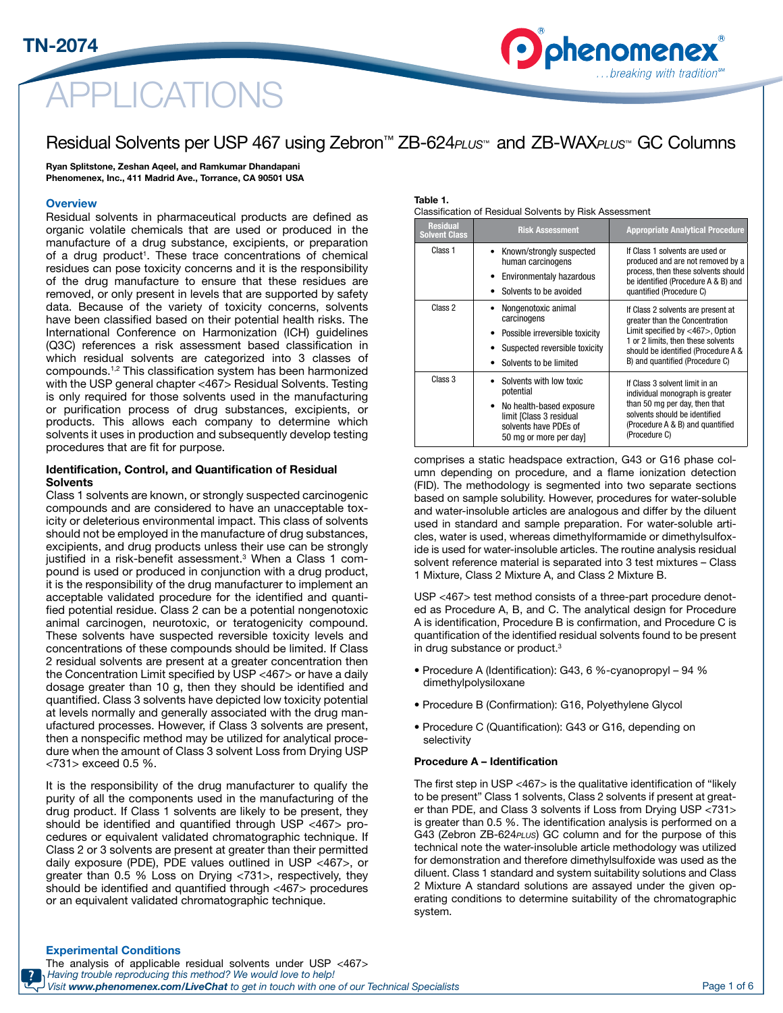

## Residual Solvents per USP 467 using Zebron™ ZB-624*PLUS™* and ZB-WAX*PLUS™* GC Columns

Ryan Splitstone, Zeshan Aqeel, and Ramkumar Dhandapani Phenomenex, Inc., 411 Madrid Ave., Torrance, CA 90501 USA

#### **Overview**

Residual solvents in pharmaceutical products are defined as organic volatile chemicals that are used or produced in the manufacture of a drug substance, excipients, or preparation of a drug product<sup>1</sup>. These trace concentrations of chemical residues can pose toxicity concerns and it is the responsibility of the drug manufacture to ensure that these residues are removed, or only present in levels that are supported by safety data. Because of the variety of toxicity concerns, solvents have been classified based on their potential health risks. The International Conference on Harmonization (ICH) guidelines (Q3C) references a risk assessment based classification in which residual solvents are categorized into 3 classes of compounds.1,2 This classification system has been harmonized with the USP general chapter <467> Residual Solvents. Testing is only required for those solvents used in the manufacturing or purification process of drug substances, excipients, or products. This allows each company to determine which solvents it uses in production and subsequently develop testing procedures that are fit for purpose.

#### Identification, Control, and Quantification of Residual **Solvents**

Class 1 solvents are known, or strongly suspected carcinogenic compounds and are considered to have an unacceptable toxicity or deleterious environmental impact. This class of solvents should not be employed in the manufacture of drug substances, excipients, and drug products unless their use can be strongly justified in a risk-benefit assessment.<sup>3</sup> When a Class 1 compound is used or produced in conjunction with a drug product, it is the responsibility of the drug manufacturer to implement an acceptable validated procedure for the identified and quantified potential residue. Class 2 can be a potential nongenotoxic animal carcinogen, neurotoxic, or teratogenicity compound. These solvents have suspected reversible toxicity levels and concentrations of these compounds should be limited. If Class 2 residual solvents are present at a greater concentration then the Concentration Limit specified by USP <467> or have a daily dosage greater than 10 g, then they should be identified and quantified. Class 3 solvents have depicted low toxicity potential at levels normally and generally associated with the drug manufactured processes. However, if Class 3 solvents are present, then a nonspecific method may be utilized for analytical procedure when the amount of Class 3 solvent Loss from Drying USP <731> exceed 0.5 %.

It is the responsibility of the drug manufacturer to qualify the purity of all the components used in the manufacturing of the drug product. If Class 1 solvents are likely to be present, they should be identified and quantified through USP <467> procedures or equivalent validated chromatographic technique. If Class 2 or 3 solvents are present at greater than their permitted daily exposure (PDE), PDE values outlined in USP <467>, or greater than 0.5 % Loss on Drying <731>, respectively, they should be identified and quantified through <467> procedures or an equivalent validated chromatographic technique.

#### Table 1.

Classification of Residual Solvents by Risk Assessment

| <b>Residual</b><br><b>Solvent Class</b> | <b>Risk Assessment</b>                                                                                                                                      | <b>Appropriate Analytical Procedure</b>                                                                                                                                                                                         |
|-----------------------------------------|-------------------------------------------------------------------------------------------------------------------------------------------------------------|---------------------------------------------------------------------------------------------------------------------------------------------------------------------------------------------------------------------------------|
| Class 1                                 | Known/strongly suspected<br>human carcinogens<br>Environmentaly hazardous<br>Solvents to be avoided                                                         | If Class 1 solvents are used or<br>produced and are not removed by a<br>process, then these solvents should<br>be identified (Procedure A & B) and<br>quantified (Procedure C)                                                  |
| Class 2                                 | Nongenotoxic animal<br>carcinogens<br>Possible irreversible toxicity<br>Suspected reversible toxicity<br>Solvents to be limited                             | If Class 2 solvents are present at<br>greater than the Concentration<br>Limit specified by $<$ 467 $>$ , Option<br>1 or 2 limits, then these solvents<br>should be identified (Procedure A &<br>B) and quantified (Procedure C) |
| Class 3                                 | Solvents with low toxic<br>potential<br>No health-based exposure<br>$\bullet$<br>limit [Class 3 residual<br>solvents have PDEs of<br>50 mg or more per day] | If Class 3 solvent limit in an<br>individual monograph is greater<br>than 50 mg per day, then that<br>solvents should be identified<br>(Procedure A & B) and quantified<br>(Procedure C)                                        |

phenomene

..breaking with tradition

comprises a static headspace extraction, G43 or G16 phase column depending on procedure, and a flame ionization detection (FID). The methodology is segmented into two separate sections based on sample solubility. However, procedures for water-soluble and water-insoluble articles are analogous and differ by the diluent used in standard and sample preparation. For water-soluble articles, water is used, whereas dimethylformamide or dimethylsulfoxide is used for water-insoluble articles. The routine analysis residual solvent reference material is separated into 3 test mixtures – Class 1 Mixture, Class 2 Mixture A, and Class 2 Mixture B.

USP <467> test method consists of a three-part procedure denoted as Procedure A, B, and C. The analytical design for Procedure A is identification, Procedure B is confirmation, and Procedure C is quantification of the identified residual solvents found to be present in drug substance or product.3

- Procedure A (Identification): G43, 6 %-cyanopropyl 94 % dimethylpolysiloxane
- Procedure B (Confirmation): G16, Polyethylene Glycol
- Procedure C (Quantification): G43 or G16, depending on selectivity

#### Procedure A – Identification

The first step in USP <467> is the qualitative identification of "likely to be present" Class 1 solvents, Class 2 solvents if present at greater than PDE, and Class 3 solvents if Loss from Drying USP <731> is greater than 0.5 %. The identification analysis is performed on a G43 (Zebron ZB-624*PLUS*) GC column and for the purpose of this technical note the water-insoluble article methodology was utilized for demonstration and therefore dimethylsulfoxide was used as the diluent. Class 1 standard and system suitability solutions and Class 2 Mixture A standard solutions are assayed under the given operating conditions to determine suitability of the chromatographic system.

#### Experimental Conditions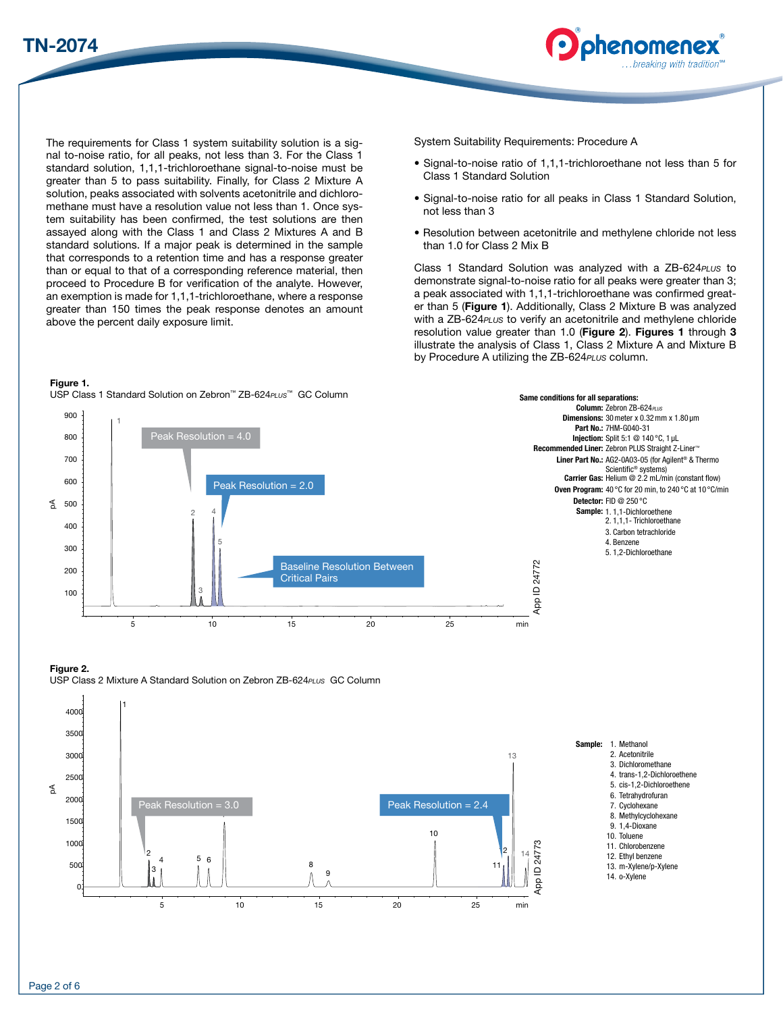



The requirements for Class 1 system suitability solution is a signal to-noise ratio, for all peaks, not less than 3. For the Class 1 standard solution, 1,1,1-trichloroethane signal-to-noise must be greater than 5 to pass suitability. Finally, for Class 2 Mixture A solution, peaks associated with solvents acetonitrile and dichloromethane must have a resolution value not less than 1. Once system suitability has been confirmed, the test solutions are then assayed along with the Class 1 and Class 2 Mixtures A and B standard solutions. If a major peak is determined in the sample that corresponds to a retention time and has a response greater than or equal to that of a corresponding reference material, then proceed to Procedure B for verification of the analyte. However, an exemption is made for 1,1,1-trichloroethane, where a response greater than 150 times the peak response denotes an amount above the percent daily exposure limit.

Figure 1.

USP Class 1 Standard Solution on Zebron<sup>™</sup> ZB-624<sub>PLUS</sub>™ GC Column

System Suitability Requirements: Procedure A

- Signal-to-noise ratio of 1,1,1-trichloroethane not less than 5 for Class 1 Standard Solution
- Signal-to-noise ratio for all peaks in Class 1 Standard Solution, not less than 3
- Resolution between acetonitrile and methylene chloride not less than 1.0 for Class 2 Mix B

Class 1 Standard Solution was analyzed with a ZB-624*PLUS* to demonstrate signal-to-noise ratio for all peaks were greater than 3; a peak associated with 1,1,1-trichloroethane was confirmed greater than 5 (Figure 1). Additionally, Class 2 Mixture B was analyzed with a ZB-624*PLUS* to verify an acetonitrile and methylene chloride resolution value greater than 1.0 (Figure 2). Figures 1 through 3 illustrate the analysis of Class 1, Class 2 Mixture A and Mixture B by Procedure A utilizing the ZB-624*PLUS* column.



#### USP Class 2 Mixture A Standard Solution on Zebron ZB-624*PLUS* GC Column Figure 2.

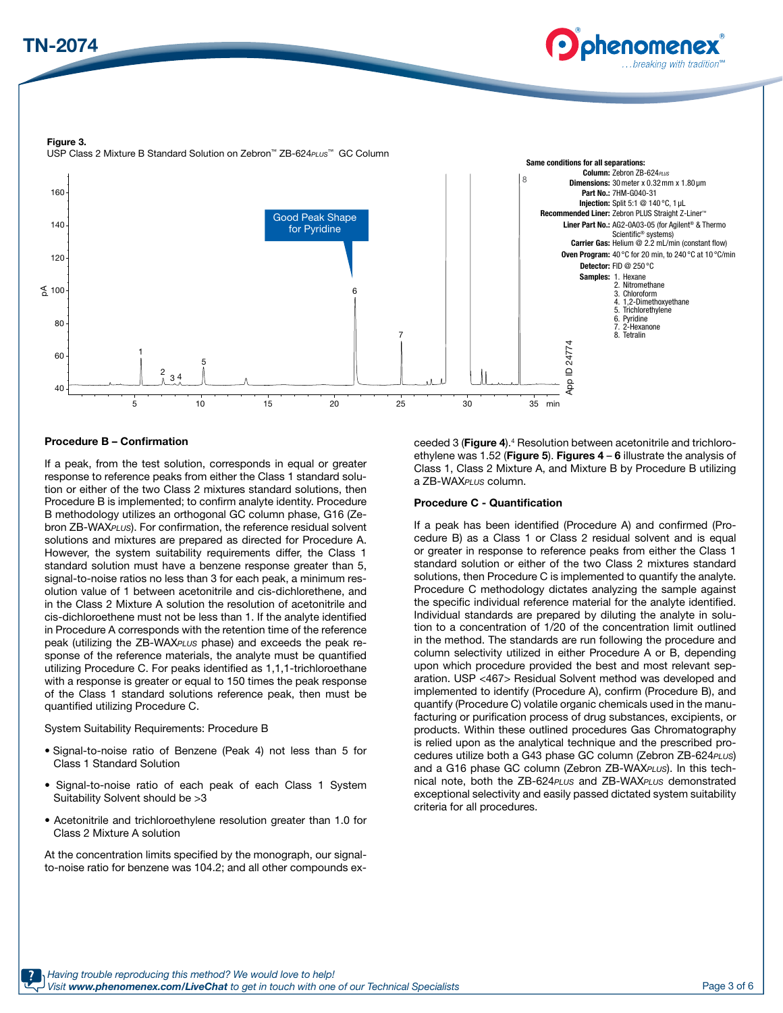



Figure 3. USP Class 2 Mixture B Standard Solution on Zebron™ ZB-624*PLUS*™ GC Column



#### Procedure B – Confirmation

If a peak, from the test solution, corresponds in equal or greater response to reference peaks from either the Class 1 standard solution or either of the two Class 2 mixtures standard solutions, then Procedure B is implemented; to confirm analyte identity. Procedure B methodology utilizes an orthogonal GC column phase, G16 (Zebron ZB-WAX*PLUS*). For confirmation, the reference residual solvent solutions and mixtures are prepared as directed for Procedure A. However, the system suitability requirements differ, the Class 1 standard solution must have a benzene response greater than 5, signal-to-noise ratios no less than 3 for each peak, a minimum resolution value of 1 between acetonitrile and cis-dichlorethene, and in the Class 2 Mixture A solution the resolution of acetonitrile and cis-dichloroethene must not be less than 1. If the analyte identified in Procedure A corresponds with the retention time of the reference peak (utilizing the ZB-WAX*PLUS* phase) and exceeds the peak response of the reference materials, the analyte must be quantified utilizing Procedure C. For peaks identified as 1,1,1-trichloroethane with a response is greater or equal to 150 times the peak response of the Class 1 standard solutions reference peak, then must be quantified utilizing Procedure C.

System Suitability Requirements: Procedure B

- Signal-to-noise ratio of Benzene (Peak 4) not less than 5 for Class 1 Standard Solution
- Signal-to-noise ratio of each peak of each Class 1 System Suitability Solvent should be >3
- Acetonitrile and trichloroethylene resolution greater than 1.0 for Class 2 Mixture A solution

At the concentration limits specified by the monograph, our signalto-noise ratio for benzene was 104.2; and all other compounds exceeded 3 (Figure 4).<sup>4</sup> Resolution between acetonitrile and trichloroethylene was 1.52 (Figure 5). Figures  $4 - 6$  illustrate the analysis of Class 1, Class 2 Mixture A, and Mixture B by Procedure B utilizing a ZB-WAX*PLUS* column.

#### Procedure C - Quantification

If a peak has been identified (Procedure A) and confirmed (Procedure B) as a Class 1 or Class 2 residual solvent and is equal or greater in response to reference peaks from either the Class 1 standard solution or either of the two Class 2 mixtures standard solutions, then Procedure C is implemented to quantify the analyte. Procedure C methodology dictates analyzing the sample against the specific individual reference material for the analyte identified. Individual standards are prepared by diluting the analyte in solution to a concentration of 1/20 of the concentration limit outlined in the method. The standards are run following the procedure and column selectivity utilized in either Procedure A or B, depending upon which procedure provided the best and most relevant separation. USP <467> Residual Solvent method was developed and implemented to identify (Procedure A), confirm (Procedure B), and quantify (Procedure C) volatile organic chemicals used in the manufacturing or purification process of drug substances, excipients, or products. Within these outlined procedures Gas Chromatography is relied upon as the analytical technique and the prescribed procedures utilize both a G43 phase GC column (Zebron ZB-624*PLUS*) and a G16 phase GC column (Zebron ZB-WAX*PLUS*). In this technical note, both the ZB-624*PLUS* and ZB-WAX*PLUS* demonstrated exceptional selectivity and easily passed dictated system suitability criteria for all procedures.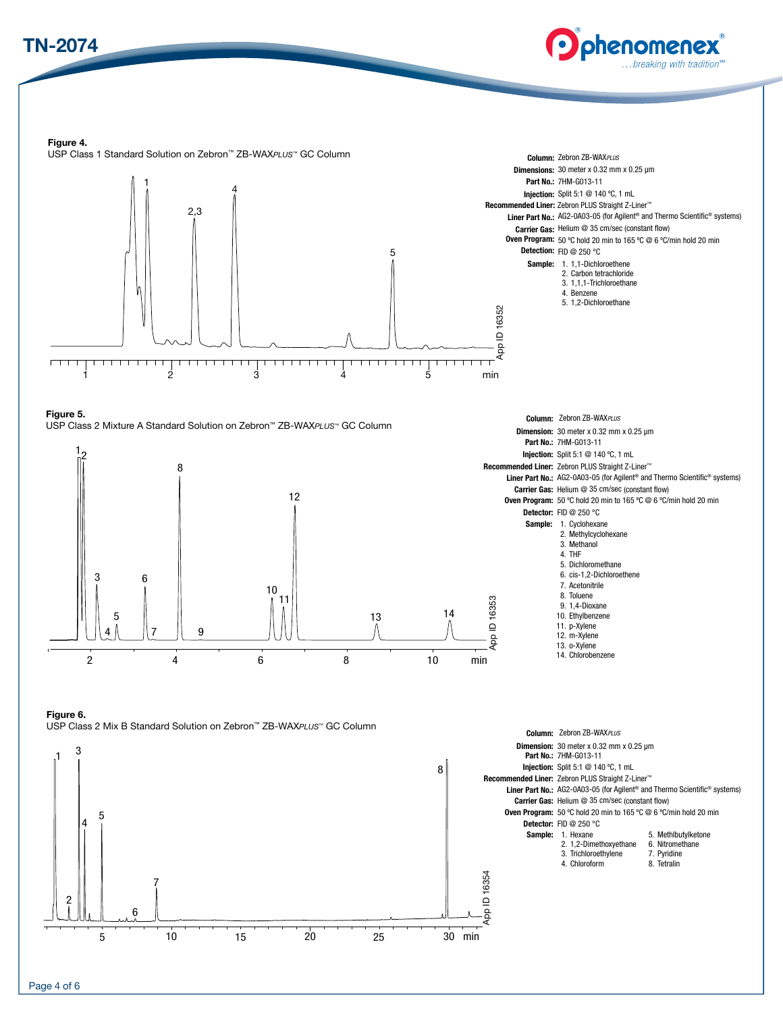## TN-2074



Column: Zebron ZB-WAX*PLUS*

Figure 4.





Figure 5. USP Class 2 Mixture A Standard Solution on Zebron™ ZB-WAX*PLUS™* GC Column



Column: Zebron ZB-WAX*PLUS* Dimension: 30 meter x 0.32 mm x 0.25 µm Part No.: 7HM-G013-11 Injection: Split 5:1 @ 140 ºC, 1 mL Recommended Liner: Zebron PLUS Straight Z-Liner™ Liner Part No.: AG2-0A03-05 (for Agilent® and Thermo Scientific® systems) Carrier Gas: Helium @ 35 cm/sec (constant flow) Oven Program: 50 ºC hold 20 min to 165 ºC @ 6 ºC/min hold 20 min Detector: FID @ 250 °C Sample: 1. Cyclohexane 2. Methylcyclohexane 3. Methanol 4. THF 5. Dichloromethane 6. cis-1,2-Dichloroethene 7. Acetonitrile 8. Toluene 9. 1,4-Dioxane 10. Ethylbenzene 11. p-Xylene 12. m-Xylene 13. o-Xylene 14. Chlorobenzene

Figure 6.

USP Class 2 Mix B Standard Solution on Zebron™ ZB-WAX*PLUS™* GC Column

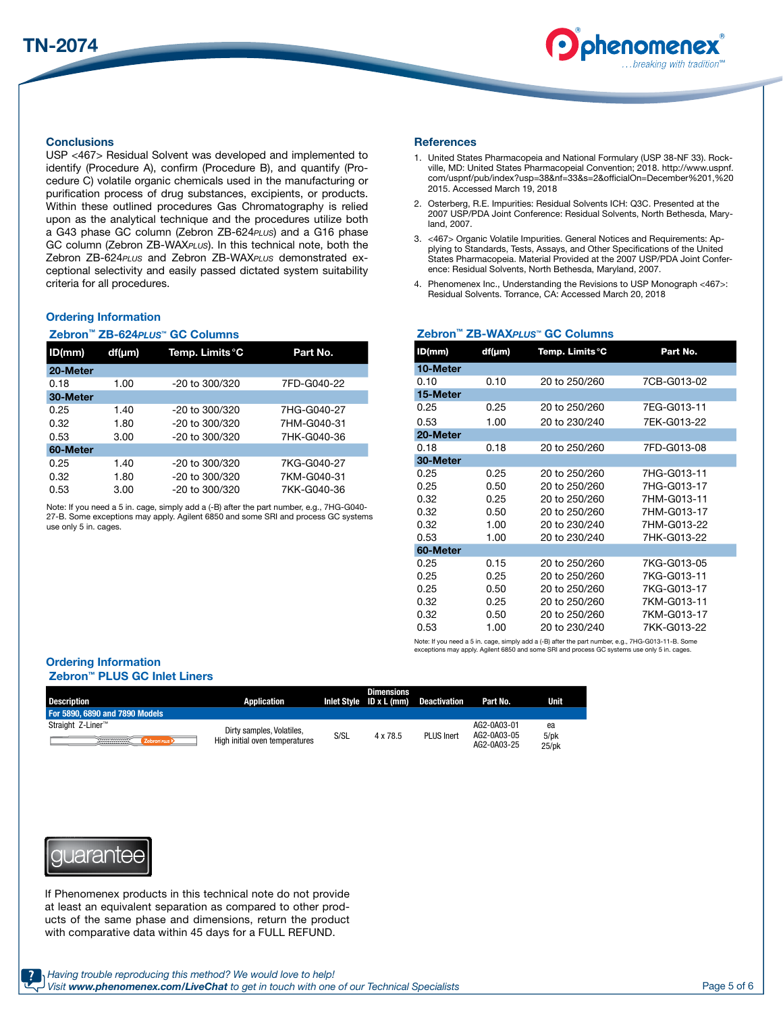

#### **Conclusions**

USP <467> Residual Solvent was developed and implemented to identify (Procedure A), confirm (Procedure B), and quantify (Procedure C) volatile organic chemicals used in the manufacturing or purification process of drug substances, excipients, or products. Within these outlined procedures Gas Chromatography is relied upon as the analytical technique and the procedures utilize both a G43 phase GC column (Zebron ZB-624*PLUS*) and a G16 phase GC column (Zebron ZB-WAX*PLUS*). In this technical note, both the Zebron ZB-624*PLUS* and Zebron ZB-WAX*PLUS* demonstrated exceptional selectivity and easily passed dictated system suitability criteria for all procedures.

#### Ordering Information

#### Zebron™ ZB-624*PLUS™* GC Columns

| ID(mm)   | $df(\mu m)$ | Temp. Limits °C                 | Part No.    |  |
|----------|-------------|---------------------------------|-------------|--|
| 20-Meter |             |                                 |             |  |
| 0.18     | 1.00        | 7FD-G040-22<br>$-20$ to 300/320 |             |  |
| 30-Meter |             |                                 |             |  |
| 0.25     | 1.40        | $-20$ to 300/320                | 7HG-G040-27 |  |
| 0.32     | 1.80        | $-20$ to 300/320                | 7HM-G040-31 |  |
| 0.53     | 3.00        | $-20$ to 300/320                | 7HK-G040-36 |  |
| 60-Meter |             |                                 |             |  |
| 0.25     | 1.40        | $-20$ to 300/320                | 7KG-G040-27 |  |
| 0.32     | 1.80        | $-20$ to 300/320                | 7KM-G040-31 |  |
| 0.53     | 3.00        | $-20$ to 300/320                | 7KK-G040-36 |  |

Note: If you need a 5 in. cage, simply add a (-B) after the part number, e.g., 7HG-G040- 27-B. Some exceptions may apply. Agilent 6850 and some SRI and process GC systems use only 5 in. cages.

#### **References**

- 1. United States Pharmacopeia and National Formulary (USP 38-NF 33). Rockville, MD: United States Pharmacopeial Convention; 2018. http://www.uspnf. com/uspnf/pub/index?usp=38&nf=33&s=2&officialOn=December%201,%20 2015. Accessed March 19, 2018
- 2. Osterberg, R.E. Impurities: Residual Solvents ICH: Q3C. Presented at the 2007 USP/PDA Joint Conference: Residual Solvents, North Bethesda, Maryland, 2007.
- 3. <467> Organic Volatile Impurities. General Notices and Requirements: Applying to Standards, Tests, Assays, and Other Specifications of the United States Pharmacopeia. Material Provided at the 2007 USP/PDA Joint Conference: Residual Solvents, North Bethesda, Maryland, 2007.
- 4. Phenomenex Inc., Understanding the Revisions to USP Monograph <467>: Residual Solvents. Torrance, CA: Accessed March 20, 2018

Zebron™ ZB-WAX*PLUS™* GC Columns

| ID(mm)   | df(µm) | Part No.<br>Temp. Limits °C |             |  |  |
|----------|--------|-----------------------------|-------------|--|--|
| 10-Meter |        |                             |             |  |  |
| 0.10     | 0.10   | 20 to 250/260               | 7CB-G013-02 |  |  |
| 15-Meter |        |                             |             |  |  |
| 0.25     | 0.25   | 20 to 250/260               | 7EG-G013-11 |  |  |
| 0.53     | 1.00   | 20 to 230/240               | 7EK-G013-22 |  |  |
| 20-Meter |        |                             |             |  |  |
| 0.18     | 0.18   | 20 to 250/260               | 7FD-G013-08 |  |  |
| 30-Meter |        |                             |             |  |  |
| 0.25     | 0.25   | 20 to 250/260               | 7HG-G013-11 |  |  |
| 0.25     | 0.50   | 20 to 250/260               | 7HG-G013-17 |  |  |
| 0.32     | 0.25   | 20 to 250/260               | 7HM-G013-11 |  |  |
| 0.32     | 0.50   | 20 to 250/260               | 7HM-G013-17 |  |  |
| 0.32     | 1.00   | 20 to 230/240               | 7HM-G013-22 |  |  |
| 0.53     | 1.00   | 20 to 230/240               | 7HK-G013-22 |  |  |
| 60-Meter |        |                             |             |  |  |
| 0.25     | 0.15   | 20 to 250/260               | 7KG-G013-05 |  |  |
| 0.25     | 0.25   | 20 to 250/260               | 7KG-G013-11 |  |  |
| 0.25     | 0.50   | 20 to 250/260               | 7KG-G013-17 |  |  |
| 0.32     | 0.25   | 20 to 250/260               | 7KM-G013-11 |  |  |
| 0.32     | 0.50   | 20 to 250/260               | 7KM-G013-17 |  |  |
| 0.53     | 1.00   | 20 to 230/240               | 7KK-G013-22 |  |  |

Note: If you need a 5 in. cage, simply add a (-B) after the part number, e.g., 7HG-G013-11-B. Some exceptions may apply. Agilent 6850 and some SRI and process GC systems use only 5 in. cages.

### Ordering Information

#### Zebron™ PLUS GC Inlet Liners

| <b>Description</b>               | Application                    |      | <b>Dimensions</b><br>Inlet Style $ID \times L$ (mm) | <b>Deactivation</b> | Part No.                                  | Unit                         |
|----------------------------------|--------------------------------|------|-----------------------------------------------------|---------------------|-------------------------------------------|------------------------------|
| For 5890, 6890 and 7890 Models   |                                |      |                                                     |                     |                                           |                              |
| Straight Z-Liner™                | Dirty samples, Volatiles,      | S/SL | 4 x 78.5                                            | <b>PLUS Inert</b>   | AG2-0A03-01<br>AG2-0A03-05<br>AG2-0A03-25 | ea<br>$5$ /p $k$<br>$25$ /pk |
| <b>Recognized</b><br>Zebron PLUS | High initial oven temperatures |      |                                                     |                     |                                           |                              |



If Phenomenex products in this technical note do not provide at least an equivalent separation as compared to other products of the same phase and dimensions, return the product with comparative data within 45 days for a FULL REFUND.